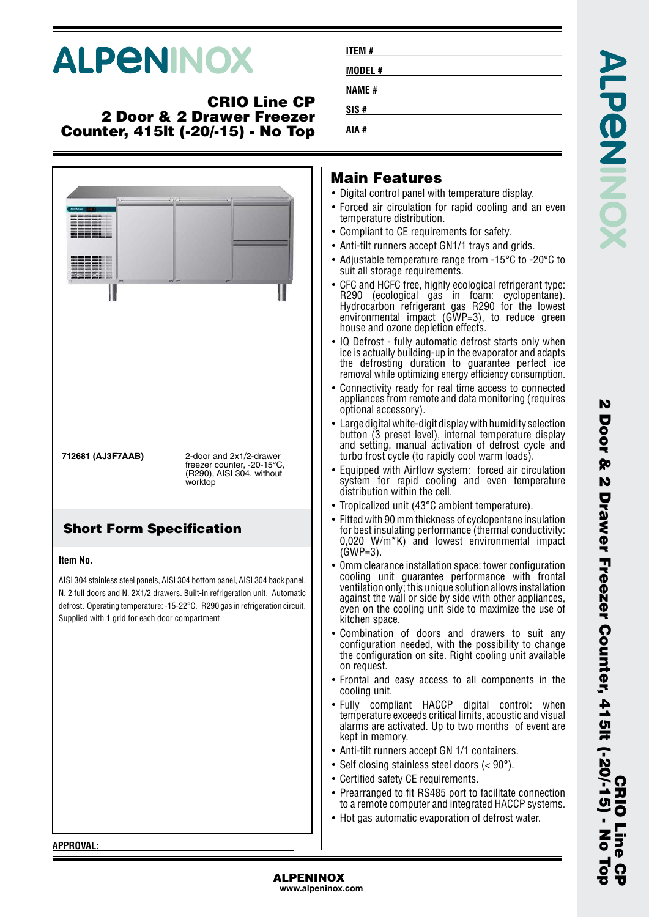# **ALPENINOX**

### **CRIO Line CP 2 Door & 2 Drawer Freezer Counter, 415lt (-20/-15) - No Top**

|                                                                                               | 4,26,3                                                                                                                                                                                                                                       |
|-----------------------------------------------------------------------------------------------|----------------------------------------------------------------------------------------------------------------------------------------------------------------------------------------------------------------------------------------------|
|                                                                                               |                                                                                                                                                                                                                                              |
|                                                                                               |                                                                                                                                                                                                                                              |
|                                                                                               |                                                                                                                                                                                                                                              |
|                                                                                               |                                                                                                                                                                                                                                              |
|                                                                                               |                                                                                                                                                                                                                                              |
|                                                                                               |                                                                                                                                                                                                                                              |
| 712681 (AJ3F7AAB)                                                                             | 2-door and 2x1/2-drawer<br>freezer counter, -20-15°C,<br>(R290), AISI 304, without                                                                                                                                                           |
|                                                                                               | worktop                                                                                                                                                                                                                                      |
|                                                                                               |                                                                                                                                                                                                                                              |
|                                                                                               |                                                                                                                                                                                                                                              |
|                                                                                               | AISI 304 stainless steel panels, AISI 304 bottom panel, AISI 304 back panel.<br>N. 2 full doors and N. 2X1/2 drawers. Built-in refrigeration unit. Automatic<br>defrost. Operating temperature: -15-22°C. R290 gas in refrigeration circuit. |
|                                                                                               |                                                                                                                                                                                                                                              |
|                                                                                               |                                                                                                                                                                                                                                              |
|                                                                                               |                                                                                                                                                                                                                                              |
| <b>Short Form Specification</b><br>Item No.<br>Supplied with 1 grid for each door compartment |                                                                                                                                                                                                                                              |
|                                                                                               |                                                                                                                                                                                                                                              |

## **ITEM # MODEL # NAME # SIS # AIA #**

## **Main Features**

- Digital control panel with temperature display.
- Forced air circulation for rapid cooling and an even temperature distribution.
- Compliant to CE requirements for safety.
- Anti-tilt runners accept GN1/1 trays and grids.
- Adjustable temperature range from -15°C to -20°C to suit all storage requirements.
- CFC and HCFC free, highly ecological refrigerant type: R290 (ecological gas in foam: cyclopentane). Hydrocarbon refrigerant gas R290 for the lowest environmental impact (GWP=3), to reduce green house and ozone depletion effects.
- IQ Defrost fully automatic defrost starts only when ice is actually building-up in the evaporator and adapts the defrosting duration to guarantee perfect ice removal while optimizing energy efficiency consumption.
- Connectivity ready for real time access to connected appliances from remote and data monitoring (requires optional accessory).
- Large digital white-digit display with humidity selection button (3 preset level), internal temperature display and setting, manual activation of defrost cycle and turbo frost cycle (to rapidly cool warm loads).
- Equipped with Airflow system: forced air circulation system for rapid cooling and even temperature distribution within the cell.
- Tropicalized unit (43°C ambient temperature).
- Fitted with 90 mm thickness of cyclopentane insulation for best insulating performance (thermal conductivity: 0,020 W/m\*K) and lowest environmental impact (GWP=3).
- 0mm clearance installation space: tower configuration cooling unit guarantee performance with frontal ventilation only; this unique solution allows installation against the wall or side by side with other appliances, even on the cooling unit side to maximize the use of kitchen space.
- Combination of doors and drawers to suit any configuration needed, with the possibility to change the configuration on site. Right cooling unit available on request.
- Frontal and easy access to all components in the cooling unit.
- Fully compliant HACCP digital control: when temperature exceeds critical limits, acoustic and visual alarms are activated. Up to two months of event are kept in memory.
- Anti-tilt runners accept GN 1/1 containers.
- Self closing stainless steel doors (< 90°).
- Certified safety CE requirements.
- Prearranged to fit RS485 port to facilitate connection to a remote computer and integrated HACCP systems.
- Hot gas automatic evaporation of defrost water.

**APPROVAL:**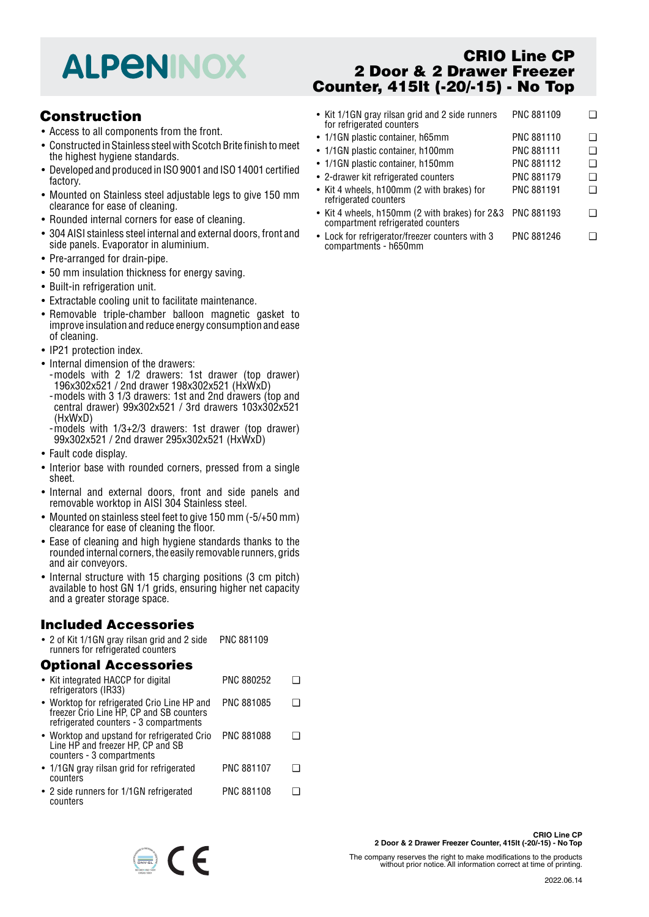## **ALPENINOX**

## **Construction**

- Access to all components from the front.
- Constructed in Stainless steel with Scotch Brite finish to meet the highest hygiene standards.
- Developed and produced in ISO 9001 and ISO 14001 certified factory.
- Mounted on Stainless steel adjustable legs to give 150 mm clearance for ease of cleaning.
- Rounded internal corners for ease of cleaning.
- 304 AISI stainless steel internal and external doors, front and side panels. Evaporator in aluminium.
- Pre-arranged for drain-pipe.
- 50 mm insulation thickness for energy saving.
- Built-in refrigeration unit.
- Extractable cooling unit to facilitate maintenance.
- Removable triple-chamber balloon magnetic gasket to improve insulation and reduce energy consumption and ease of cleaning.
- IP21 protection index.
- Internal dimension of the drawers: -models with 2 1/2 drawers: 1st drawer (top drawer) 196x302x521 / 2nd drawer 198x302x521 (HxWxD)
	- -models with 3 1/3 drawers: 1st and 2nd drawers (top and central drawer) 99x302x521 / 3rd drawers 103x302x521 (HxWxD)
	- -models with 1/3+2/3 drawers: 1st drawer (top drawer) 99x302x521 / 2nd drawer 295x302x521 (HxWxD)
- Fault code display.
- Interior base with rounded corners, pressed from a single sheet.
- Internal and external doors, front and side panels and removable worktop in AISI 304 Stainless steel.
- Mounted on stainless steel feet to give 150 mm (-5/+50 mm) clearance for ease of cleaning the floor.
- Ease of cleaning and high hygiene standards thanks to the rounded internal corners, the easily removable runners, grids and air conveyors.
- Internal structure with 15 charging positions (3 cm pitch) available to host GN 1/1 grids, ensuring higher net capacity and a greater storage space.

## **Included Accessories**

• 2 of Kit 1/1GN gray rilsan grid and 2 side runners for refrigerated counters PNC 881109

#### **Optional Accessories**

| • Kit integrated HACCP for digital<br>refrigerators (IR33)                                                                        | PNC 880252        |  |
|-----------------------------------------------------------------------------------------------------------------------------------|-------------------|--|
| • Worktop for refrigerated Crio Line HP and<br>freezer Crio Line HP, CP and SB counters<br>refrigerated counters - 3 compartments | <b>PNC 881085</b> |  |
| • Worktop and upstand for refrigerated Crio<br>Line HP and freezer HP, CP and SB<br>counters - 3 compartments                     | <b>PNC 881088</b> |  |
| • 1/1GN gray rilsan grid for refrigerated<br>counters                                                                             | <b>PNC 881107</b> |  |
| • 2 side runners for 1/1GN refrigerated<br>counters                                                                               | <b>PNC 881108</b> |  |
|                                                                                                                                   |                   |  |

 $\epsilon$ 

## **CRIO Line CP 2 Door & 2 Drawer Freezer Counter, 415lt (-20/-15) - No Top**

- Kit 1/1GN gray rilsan grid and 2 side runners for refrigerated counters PNC 881109 ❑ • 1/1GN plastic container, h65mm PNC 881110 ❑ • 1/1GN plastic container, h100mm PNC 881111 ❑ • 1/1GN plastic container, h150mm PNC 881112 ❑ • 2-drawer kit refrigerated counters PNC 881179 ❑ • Kit 4 wheels, h100mm (2 with brakes) for refrigerated counters PNC 881191 ❑ • Kit 4 wheels, h150mm (2 with brakes) for 2&3 PNC 881193 ❑ compartment refrigerated counters
- Lock for refrigerator/freezer counters with 3 compartments - h650mm PNC 881246 <del>□</del>

The company reserves the right to make modifications to the products without prior notice. All information correct at time of printing.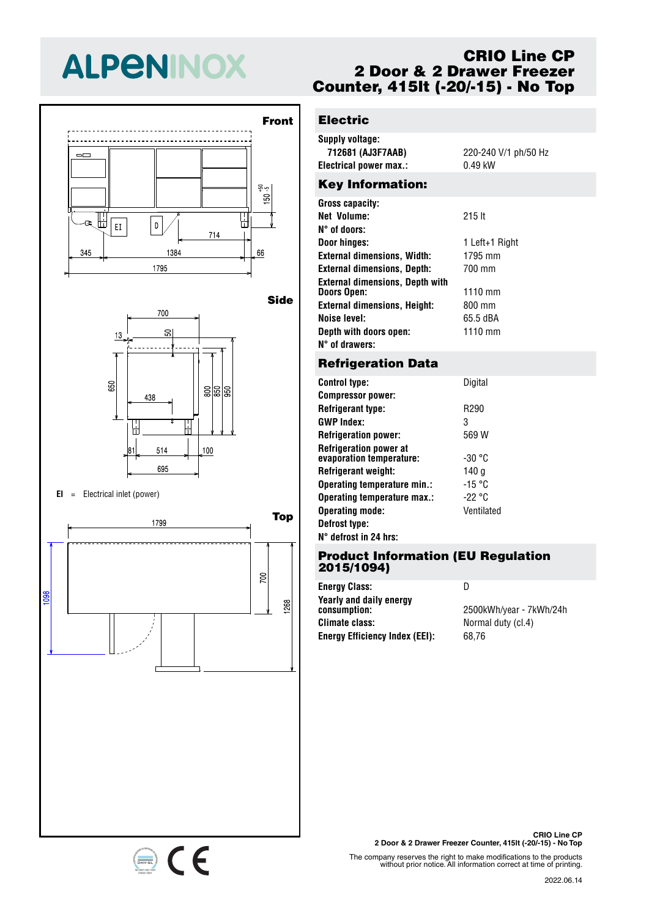## **ALPENINOX**



**Side**



#### **EI** <sup>=</sup> Electrical inlet (power)



## **CRIO Line CP 2 Door & 2 Drawer Freezer Counter, 415lt (-20/-15) - No Top**

## **Electric**

| Supply voltage:<br>712681 (AJ3F7AAB)<br><b>Electrical power max.:</b> | 220-240 V/1 ph/50 Hz<br>$0.49$ kW |
|-----------------------------------------------------------------------|-----------------------------------|
| <b>Key Information:</b>                                               |                                   |
| Gross capacity:<br><b>Net Volume:</b><br>N° of doors:                 | 215 lt                            |
| Door hinges:                                                          | 1 Left+1 Right                    |
| <b>External dimensions, Width:</b>                                    | 1795 mm                           |
| <b>External dimensions, Depth:</b>                                    | 700 mm                            |
| <b>External dimensions, Depth with</b><br><b>Doors Open:</b>          | 1110 mm                           |
| <b>External dimensions, Height:</b>                                   | 800 mm                            |

**Noise level:** 65.5 dBA **Depth with doors open:** 1110 mm

### **Refrigeration Data**

**N° of drawers:**

| <b>Control type:</b>                                      | Digital          |
|-----------------------------------------------------------|------------------|
| <b>Compressor power:</b>                                  |                  |
| <b>Refrigerant type:</b>                                  | R <sub>290</sub> |
| <b>GWP Index:</b>                                         | 3                |
| <b>Refrigeration power:</b>                               | 569 W            |
| <b>Refrigeration power at</b><br>evaporation temperature: | -30 °C           |
| <b>Refrigerant weight:</b>                                | 140 a            |
| Operating temperature min.:                               | -15 °C           |
| Operating temperature max.:                               | -22 °C           |
| <b>Operating mode:</b>                                    | Ventilated       |
| Defrost type:                                             |                  |
| $N^{\circ}$ defrost in 24 hrs:                            |                  |

#### **Product Information (EU Regulation 2015/1094)**

| <b>Energy Class:</b>                    | I)                      |
|-----------------------------------------|-------------------------|
| Yearly and daily energy<br>consumption: | 2500kWh/year - 7kWh/24h |
| <b>Climate class:</b>                   | Normal duty (cl.4)      |
| <b>Energy Efficiency Index (EEI):</b>   | 68.76                   |

**CRIO Line CP 2 Door & 2 Drawer Freezer Counter, 415lt (-20/-15) - No Top**

The company reserves the right to make modifications to the products without prior notice. All information correct at time of printing.